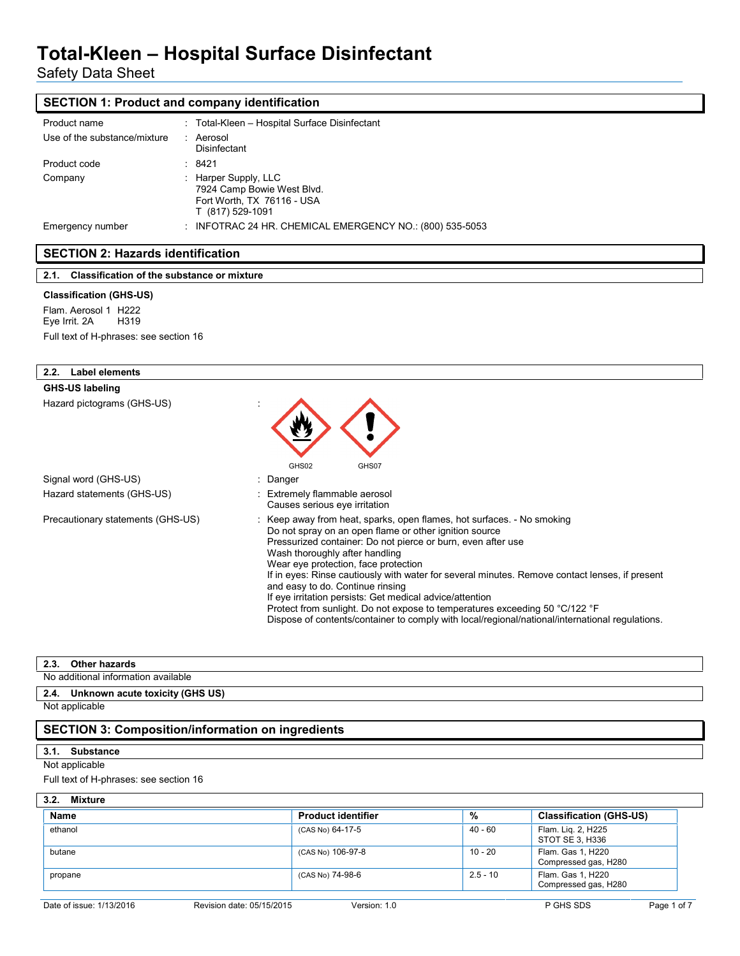Safety Data Sheet

## **SECTION 1: Product and company identification**

| Product name                 | : Total-Kleen - Hospital Surface Disinfectant                                                        |
|------------------------------|------------------------------------------------------------------------------------------------------|
| Use of the substance/mixture | Aerosol<br>Disinfectant                                                                              |
| Product code                 | : 8421                                                                                               |
| Company                      | : Harper Supply, LLC<br>7924 Camp Bowie West Blvd.<br>Fort Worth, TX 76116 - USA<br>T (817) 529-1091 |
| Emergency number             | INFOTRAC 24 HR. CHEMICAL EMERGENCY NO.: (800) 535-5053                                               |

## **SECTION 2: Hazards identification**

| 2.1. Classification of the substance or mixture |
|-------------------------------------------------|
|-------------------------------------------------|

#### **Classification (GHS-US)**

Flam. Aerosol 1 H222<br>Eye Irrit. 2A H319 Eye Irrit. 2A Full text of H-phrases: see section 16

| <b>Label elements</b><br>2.2.     |                                                                                                                                                                                                                                                                                                                                                                                                                                                                                                                                                                                                                                                                |
|-----------------------------------|----------------------------------------------------------------------------------------------------------------------------------------------------------------------------------------------------------------------------------------------------------------------------------------------------------------------------------------------------------------------------------------------------------------------------------------------------------------------------------------------------------------------------------------------------------------------------------------------------------------------------------------------------------------|
| <b>GHS-US labeling</b>            |                                                                                                                                                                                                                                                                                                                                                                                                                                                                                                                                                                                                                                                                |
| Hazard pictograms (GHS-US)        | GHS02<br>GHS07                                                                                                                                                                                                                                                                                                                                                                                                                                                                                                                                                                                                                                                 |
| Signal word (GHS-US)              | : Danger                                                                                                                                                                                                                                                                                                                                                                                                                                                                                                                                                                                                                                                       |
| Hazard statements (GHS-US)        | : Extremely flammable aerosol<br>Causes serious eye irritation                                                                                                                                                                                                                                                                                                                                                                                                                                                                                                                                                                                                 |
| Precautionary statements (GHS-US) | : Keep away from heat, sparks, open flames, hot surfaces. - No smoking<br>Do not spray on an open flame or other ignition source<br>Pressurized container: Do not pierce or burn, even after use<br>Wash thoroughly after handling<br>Wear eye protection, face protection<br>If in eyes: Rinse cautiously with water for several minutes. Remove contact lenses, if present<br>and easy to do. Continue rinsing<br>If eye irritation persists: Get medical advice/attention<br>Protect from sunlight. Do not expose to temperatures exceeding 50 °C/122 °F<br>Dispose of contents/container to comply with local/regional/national/international regulations. |

#### **2.3. Other hazards**

No additional information available

## **2.4. Unknown acute toxicity (GHS US)**

Not applicable

## **SECTION 3: Composition/information on ingredients**

## **3.1. Substance**

## Not applicable

Full text of H-phrases: see section 16

### **3.2. Mixture**

| <b>Name</b> | <b>Product identifier</b> | %          | <b>Classification (GHS-US)</b>            |
|-------------|---------------------------|------------|-------------------------------------------|
| ethanol     | (CAS No) 64-17-5          | 40 - 60    | Flam. Lig. 2, H225<br>STOT SE 3, H336     |
| butane      | (CAS No) 106-97-8         | 10 - 20    | Flam. Gas 1, H220<br>Compressed gas, H280 |
| propane     | (CAS No) 74-98-6          | $2.5 - 10$ | Flam. Gas 1, H220<br>Compressed gas, H280 |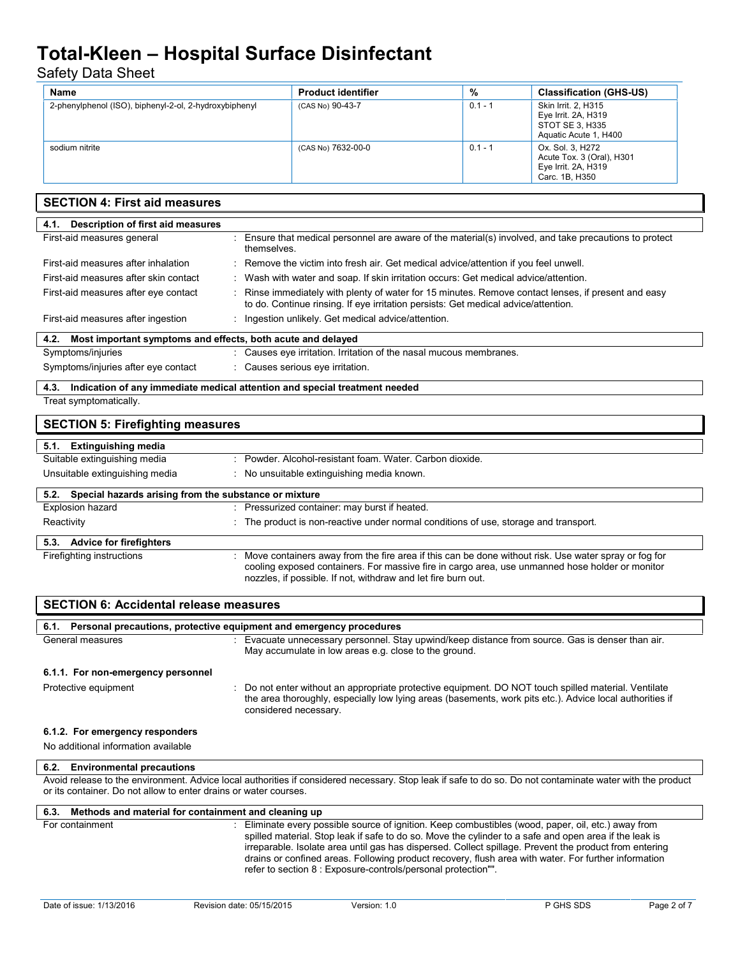# Safety Data Sheet

| Name                                                   | <b>Product identifier</b> | %         | <b>Classification (GHS-US)</b>                                                         |
|--------------------------------------------------------|---------------------------|-----------|----------------------------------------------------------------------------------------|
| 2-phenylphenol (ISO), biphenyl-2-ol, 2-hydroxybiphenyl | (CAS No) 90-43-7          | $0.1 - 1$ | Skin Irrit. 2, H315<br>Eye Irrit. 2A, H319<br>STOT SE 3, H335<br>Aquatic Acute 1, H400 |
| sodium nitrite                                         | (CAS No) 7632-00-0        | $0.1 - 1$ | Ox. Sol. 3, H272<br>Acute Tox. 3 (Oral), H301<br>Eye Irrit. 2A, H319<br>Carc. 1B, H350 |

| <b>SECTION 4: First aid measures</b>                                     |                                                                                                                                                                                                                                                                            |  |  |
|--------------------------------------------------------------------------|----------------------------------------------------------------------------------------------------------------------------------------------------------------------------------------------------------------------------------------------------------------------------|--|--|
| 4.1. Description of first aid measures                                   |                                                                                                                                                                                                                                                                            |  |  |
| First-aid measures general                                               | : Ensure that medical personnel are aware of the material(s) involved, and take precautions to protect<br>themselves.                                                                                                                                                      |  |  |
| First-aid measures after inhalation                                      | Remove the victim into fresh air. Get medical advice/attention if you feel unwell.                                                                                                                                                                                         |  |  |
| First-aid measures after skin contact                                    | Wash with water and soap. If skin irritation occurs: Get medical advice/attention.                                                                                                                                                                                         |  |  |
| First-aid measures after eye contact                                     | : Rinse immediately with plenty of water for 15 minutes. Remove contact lenses, if present and easy<br>to do. Continue rinsing. If eye irritation persists: Get medical advice/attention.                                                                                  |  |  |
| First-aid measures after ingestion                                       | Ingestion unlikely. Get medical advice/attention.                                                                                                                                                                                                                          |  |  |
| Most important symptoms and effects, both acute and delayed<br>4.2.      |                                                                                                                                                                                                                                                                            |  |  |
| Symptoms/injuries                                                        | : Causes eye irritation. Irritation of the nasal mucous membranes.                                                                                                                                                                                                         |  |  |
| Symptoms/injuries after eye contact                                      | : Causes serious eye irritation.                                                                                                                                                                                                                                           |  |  |
| 4.3.                                                                     | Indication of any immediate medical attention and special treatment needed                                                                                                                                                                                                 |  |  |
| Treat symptomatically.                                                   |                                                                                                                                                                                                                                                                            |  |  |
| <b>SECTION 5: Firefighting measures</b>                                  |                                                                                                                                                                                                                                                                            |  |  |
| 5.1. Extinguishing media                                                 |                                                                                                                                                                                                                                                                            |  |  |
| Suitable extinguishing media                                             | : Powder, Alcohol-resistant foam, Water, Carbon dioxide.                                                                                                                                                                                                                   |  |  |
| Unsuitable extinguishing media                                           | : No unsuitable extinguishing media known.                                                                                                                                                                                                                                 |  |  |
| Special hazards arising from the substance or mixture<br>5.2.            |                                                                                                                                                                                                                                                                            |  |  |
| Explosion hazard                                                         | : Pressurized container: may burst if heated.                                                                                                                                                                                                                              |  |  |
| Reactivity                                                               | The product is non-reactive under normal conditions of use, storage and transport.                                                                                                                                                                                         |  |  |
| 5.3.<br><b>Advice for firefighters</b>                                   |                                                                                                                                                                                                                                                                            |  |  |
| Firefighting instructions                                                | : Move containers away from the fire area if this can be done without risk. Use water spray or fog for<br>cooling exposed containers. For massive fire in cargo area, use unmanned hose holder or monitor<br>nozzles, if possible. If not, withdraw and let fire burn out. |  |  |
| <b>SECTION 6: Accidental release measures</b>                            |                                                                                                                                                                                                                                                                            |  |  |
| 6.1. Personal precautions, protective equipment and emergency procedures |                                                                                                                                                                                                                                                                            |  |  |
| General measures                                                         | : Evacuate unnecessary personnel. Stay upwind/keep distance from source. Gas is denser than air.<br>May accumulate in low areas e.g. close to the ground.                                                                                                                  |  |  |
| 6.1.1. For non-emergency personnel                                       |                                                                                                                                                                                                                                                                            |  |  |
| Protective equipment                                                     | Do not enter without an appropriate protective equipment. DO NOT touch spilled material. Ventilate<br>the area thoroughly, especially low lying areas (basements, work pits etc.). Advice local authorities if<br>considered necessary.                                    |  |  |

### **6.1.2. For emergency responders**

No additional information available

#### **6.2. Environmental precautions**

Avoid release to the environment. Advice local authorities if considered necessary. Stop leak if safe to do so. Do not contaminate water with the product or its container. Do not allow to enter drains or water courses.

| 6.3. Methods and material for containment and cleaning up |                                                                                                                                                                                                                                                                                                                                                                                                                                                                                                |
|-----------------------------------------------------------|------------------------------------------------------------------------------------------------------------------------------------------------------------------------------------------------------------------------------------------------------------------------------------------------------------------------------------------------------------------------------------------------------------------------------------------------------------------------------------------------|
| For containment                                           | Eliminate every possible source of ignition. Keep combustibles (wood, paper, oil, etc.) away from<br>spilled material. Stop leak if safe to do so. Move the cylinder to a safe and open area if the leak is<br>irreparable. Isolate area until gas has dispersed. Collect spillage. Prevent the product from entering<br>drains or confined areas. Following product recovery, flush area with water. For further information<br>refer to section 8 : Exposure-controls/personal protection"". |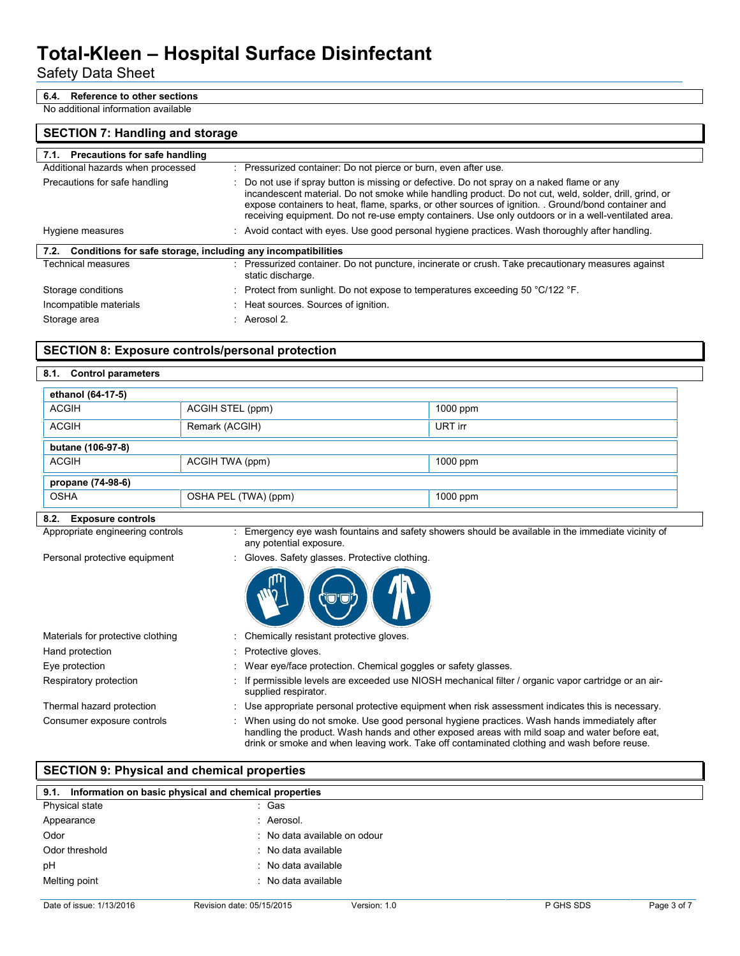## Safety Data Sheet

## **6.4. Reference to other sections**

No additional information available

### **SECTION 7: Handling and storage**

| 7.1. Precautions for safe handling                                |                                                                                                                                                                                                                                                                                                                                                                                                                     |
|-------------------------------------------------------------------|---------------------------------------------------------------------------------------------------------------------------------------------------------------------------------------------------------------------------------------------------------------------------------------------------------------------------------------------------------------------------------------------------------------------|
| Additional hazards when processed                                 | : Pressurized container: Do not pierce or burn, even after use.                                                                                                                                                                                                                                                                                                                                                     |
| Precautions for safe handling                                     | : Do not use if spray button is missing or defective. Do not spray on a naked flame or any<br>incandescent material. Do not smoke while handling product. Do not cut, weld, solder, drill, grind, or<br>expose containers to heat, flame, sparks, or other sources of ignition. . Ground/bond container and<br>receiving equipment. Do not re-use empty containers. Use only outdoors or in a well-ventilated area. |
| Hygiene measures                                                  | : Avoid contact with eyes. Use good personal hygiene practices. Wash thoroughly after handling.                                                                                                                                                                                                                                                                                                                     |
| 7.2. Conditions for safe storage, including any incompatibilities |                                                                                                                                                                                                                                                                                                                                                                                                                     |
| Technical measures                                                | Pressurized container. Do not puncture, incinerate or crush. Take precautionary measures against<br>static discharge.                                                                                                                                                                                                                                                                                               |
| Storage conditions                                                | : Protect from sunlight. Do not expose to temperatures exceeding 50 $^{\circ}$ C/122 $^{\circ}$ F.                                                                                                                                                                                                                                                                                                                  |
| Incompatible materials                                            | : Heat sources. Sources of ignition.                                                                                                                                                                                                                                                                                                                                                                                |
| Storage area                                                      | : Aerosol 2.                                                                                                                                                                                                                                                                                                                                                                                                        |

### **SECTION 8: Exposure controls/personal protection**

**8.1. Control parameters**

| ethanol (64-17-5) |                      |          |  |
|-------------------|----------------------|----------|--|
| <b>ACGIH</b>      | ACGIH STEL (ppm)     | 1000 ppm |  |
| <b>ACGIH</b>      | Remark (ACGIH)       | URT irr  |  |
| butane (106-97-8) |                      |          |  |
| <b>ACGIH</b>      | ACGIH TWA (ppm)      | 1000 ppm |  |
| propane (74-98-6) |                      |          |  |
| <b>OSHA</b>       | OSHA PEL (TWA) (ppm) | 1000 ppm |  |

#### **8.2. Exposure controls**

| Appropriate engineering controls | Emergency eye wash fountains and safety showers should be available in the immediate vicinity of |  |
|----------------------------------|--------------------------------------------------------------------------------------------------|--|
|                                  | any potential exposure.                                                                          |  |

Personal protective equipment : Gloves. Safety glasses. Protective clothing.



Materials for protective clothing : Chemically resistant protective gloves. Hand protection **in the contract of the Contract Contract Contract Contract Contract Contract Contract Contract Contract Contract Contract Contract Contract Contract Contract Contract Contract Contract Contract Contract Co** Eye protection **in the same of the COV** wear eye/face protection. Chemical goggles or safety glasses. Respiratory protection : If permissible levels are exceeded use NIOSH mechanical filter / organic vapor cartridge or an airsupplied respirator. Thermal hazard protection : Use appropriate personal protective equipment when risk assessment indicates this is necessary. Consumer exposure controls : When using do not smoke. Use good personal hygiene practices. Wash hands immediately after handling the product. Wash hands and other exposed areas with mild soap and water before eat, drink or smoke and when leaving work. Take off contaminated clothing and wash before reuse.

## **SECTION 9: Physical and chemical properties**

| 9.1. Information on basic physical and chemical properties |                              |  |
|------------------------------------------------------------|------------------------------|--|
| Physical state                                             | : Gas                        |  |
| Appearance                                                 | : Aerosol.                   |  |
| Odor                                                       | : No data available on odour |  |
| Odor threshold                                             | : No data available          |  |
| pH                                                         | : No data available          |  |
| Melting point                                              | : No data available          |  |
|                                                            |                              |  |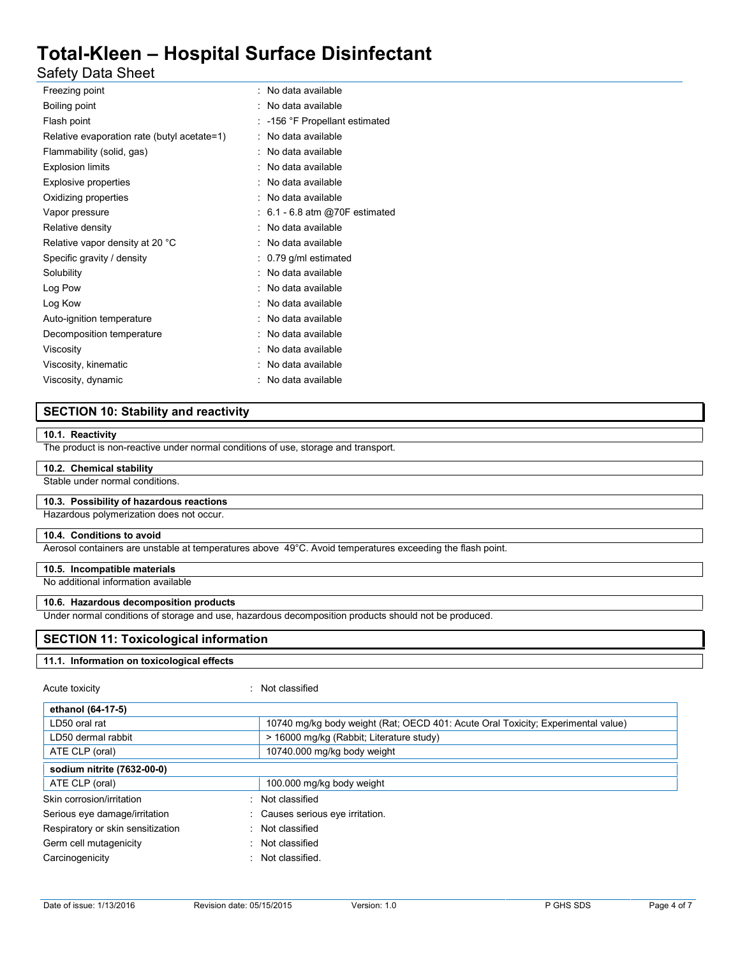Safety Data Sheet

| : No data available              |
|----------------------------------|
| No data available                |
| -156 °F Propellant estimated     |
| No data available                |
| No data available                |
| No data available                |
| No data available                |
| No data available                |
| $: 6.1 - 6.8$ atm @70F estimated |
| No data available                |
| No data available                |
| 0.79 g/ml estimated              |
| No data available                |
| No data available                |
| No data available                |
| No data available                |
| No data available                |
| No data available                |
| No data available                |
| No data available                |
|                                  |

## **SECTION 10: Stability and reactivity**

#### **10.1. Reactivity**

The product is non-reactive under normal conditions of use, storage and transport.

#### **10.2. Chemical stability**

Stable under normal conditions.

#### **10.3. Possibility of hazardous reactions**

Hazardous polymerization does not occur.

#### **10.4. Conditions to avoid**

Aerosol containers are unstable at temperatures above 49°C. Avoid temperatures exceeding the flash point.

#### **10.5. Incompatible materials**

No additional information available

#### **10.6. Hazardous decomposition products**

Under normal conditions of storage and use, hazardous decomposition products should not be produced.

#### **SECTION 11: Toxicological information**

#### **11.1. Information on toxicological effects**

#### Acute toxicity in the contract of the classified in the Not classified

| 10740 mg/kg body weight (Rat; OECD 401: Acute Oral Toxicity; Experimental value) |
|----------------------------------------------------------------------------------|
| > 16000 mg/kg (Rabbit; Literature study)                                         |
| 10740.000 mg/kg body weight                                                      |
|                                                                                  |
| 100.000 mg/kg body weight                                                        |
| Not classified                                                                   |
| : Causes serious eye irritation.                                                 |
| : Not classified                                                                 |
| : Not classified                                                                 |
| : Not classified.                                                                |
|                                                                                  |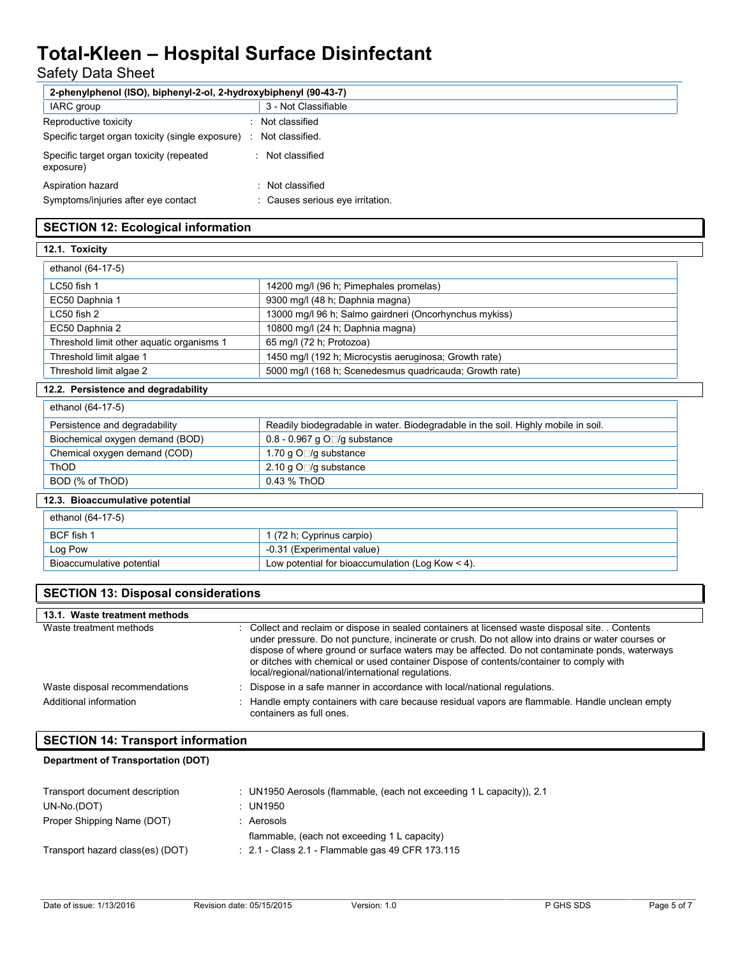# Safety Data Sheet

| 2-phenylphenol (ISO), biphenyl-2-ol, 2-hydroxybiphenyl (90-43-7) |  |                                                      |
|------------------------------------------------------------------|--|------------------------------------------------------|
| IARC group                                                       |  | 3 - Not Classifiable                                 |
| Reproductive toxicity                                            |  | Not classified                                       |
| Specific target organ toxicity (single exposure)                 |  | Not classified.                                      |
| Specific target organ toxicity (repeated<br>exposure)            |  | : Not classified                                     |
| Aspiration hazard<br>Symptoms/injuries after eye contact         |  | : Not classified<br>: Causes serious eve irritation. |

## **SECTION 12: Ecological information**

| 12.1. Toxicity                            |                                                         |
|-------------------------------------------|---------------------------------------------------------|
| ethanol (64-17-5)                         |                                                         |
| LC50 fish 1                               | 14200 mg/l (96 h; Pimephales promelas)                  |
| EC50 Daphnia 1                            | 9300 mg/l (48 h; Daphnia magna)                         |
| $LC50$ fish $2$                           | 13000 mg/l 96 h; Salmo gairdneri (Oncorhynchus mykiss)  |
| EC50 Daphnia 2                            | 10800 mg/l (24 h; Daphnia magna)                        |
| Threshold limit other aquatic organisms 1 | 65 mg/l (72 h; Protozoa)                                |
| Threshold limit algae 1                   | 1450 mg/l (192 h; Microcystis aeruginosa; Growth rate)  |
| Threshold limit algae 2                   | 5000 mg/l (168 h; Scenedesmus quadricauda; Growth rate) |
| 12.2. Persistence and degradability       |                                                         |

# ethanol (64-17-5) Persistence and degradability Readily biodegradable in water. Biodegradable in the soil. Highly mobile in soil. Biochemical oxygen demand (BOD) 0.8 - 0.967 g O || /g substance Chemical oxygen demand (COD)  $\vert$  1.70 g O  $\vert$ g substance ThOD 2.10 g O /g substance BOD (% of ThOD) 0.43 % ThOD **12.3. Bioaccumulative potential**

| ethanol (64-17-5)         |                                                    |
|---------------------------|----------------------------------------------------|
| BCF fish 1                | 1 (72 h; Cyprinus carpio)                          |
| Log Pow                   | -0.31 (Experimental value)                         |
| Bioaccumulative potential | Low potential for bioaccumulation (Log Kow $<$ 4). |

| <b>SECTION 13: Disposal considerations</b> |                                                                                                                                                                                                                                                                                                                                                                                                                                                          |  |
|--------------------------------------------|----------------------------------------------------------------------------------------------------------------------------------------------------------------------------------------------------------------------------------------------------------------------------------------------------------------------------------------------------------------------------------------------------------------------------------------------------------|--|
| 13.1. Waste treatment methods              |                                                                                                                                                                                                                                                                                                                                                                                                                                                          |  |
| Waste treatment methods                    | : Collect and reclaim or dispose in sealed containers at licensed waste disposal site. Contents<br>under pressure. Do not puncture, incinerate or crush. Do not allow into drains or water courses or<br>dispose of where ground or surface waters may be affected. Do not contaminate ponds, waterways<br>or ditches with chemical or used container Dispose of contents/container to comply with<br>local/regional/national/international regulations. |  |
| Waste disposal recommendations             | : Dispose in a safe manner in accordance with local/national regulations.                                                                                                                                                                                                                                                                                                                                                                                |  |
| Additional information                     | : Handle empty containers with care because residual vapors are flammable. Handle unclean empty<br>containers as full ones.                                                                                                                                                                                                                                                                                                                              |  |

## **SECTION 14: Transport information**

## **Department of Transportation (DOT)**

| Transport document description<br>UN-No.(DOT) | : UN1950 Aerosols (flammable, (each not exceeding 1 L capacity)), 2.1<br>: UN1950 |
|-----------------------------------------------|-----------------------------------------------------------------------------------|
| Proper Shipping Name (DOT)                    | Aerosols                                                                          |
|                                               | flammable, (each not exceeding 1 L capacity)                                      |
| Transport hazard class(es) (DOT)              | $\therefore$ 2.1 - Class 2.1 - Flammable gas 49 CFR 173.115                       |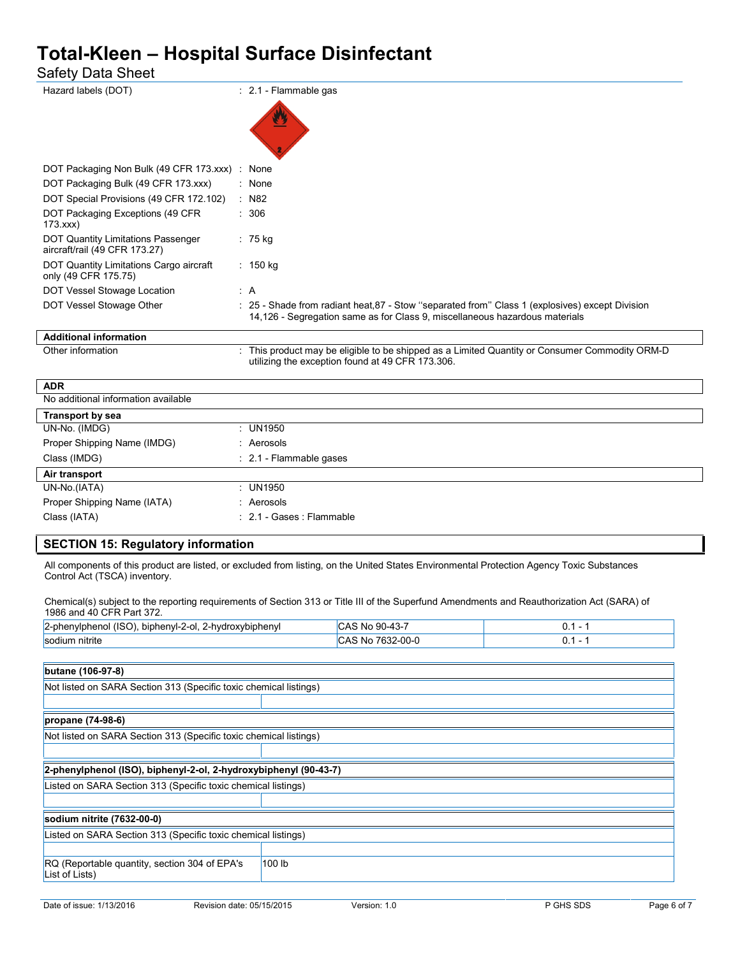Safety Data Sheet

| Hazard labels (DOT)                                                 | $\therefore$ 2.1 - Flammable gas                                                                                                                                               |  |
|---------------------------------------------------------------------|--------------------------------------------------------------------------------------------------------------------------------------------------------------------------------|--|
|                                                                     |                                                                                                                                                                                |  |
| DOT Packaging Non Bulk (49 CFR 173.xxx) : None                      |                                                                                                                                                                                |  |
| DOT Packaging Bulk (49 CFR 173.xxx)                                 | : None                                                                                                                                                                         |  |
| DOT Special Provisions (49 CFR 172.102)                             | $:$ N82                                                                                                                                                                        |  |
| DOT Packaging Exceptions (49 CFR<br>173.xxx                         | : 306                                                                                                                                                                          |  |
| DOT Quantity Limitations Passenger<br>aircraft/rail (49 CFR 173.27) | $: 75$ kg                                                                                                                                                                      |  |
| DOT Quantity Limitations Cargo aircraft<br>only (49 CFR 175.75)     | $: 150$ kg                                                                                                                                                                     |  |
| DOT Vessel Stowage Location                                         | : A                                                                                                                                                                            |  |
| DOT Vessel Stowage Other                                            | : 25 - Shade from radiant heat, 87 - Stow "separated from" Class 1 (explosives) except Division<br>14,126 - Segregation same as for Class 9, miscellaneous hazardous materials |  |
| <b>Additional information</b>                                       |                                                                                                                                                                                |  |
| Other information                                                   | This product may be eligible to be shipped as a Limited Quantity or Consumer Commodity ORM-D<br>utilizing the exception found at 49 CFR 173.306.                               |  |

| <b>ADR</b>                          |                                    |
|-------------------------------------|------------------------------------|
| No additional information available |                                    |
| <b>Transport by sea</b>             |                                    |
| UN-No. (IMDG)                       | : UN1950                           |
| Proper Shipping Name (IMDG)         | : Aerosols                         |
| Class (IMDG)                        | $\therefore$ 2.1 - Flammable gases |
| Air transport                       |                                    |
| UN-No.(IATA)                        | : UN1950                           |
| Proper Shipping Name (IATA)         | : Aerosols                         |
| Class (IATA)                        | : 2.1 - Gases : Flammable          |
|                                     |                                    |

## **SECTION 15: Regulatory information**

All components of this product are listed, or excluded from listing, on the United States Environmental Protection Agency Toxic Substances Control Act (TSCA) inventory.

Chemical(s) subject to the reporting requirements of Section 313 or Title III of the Superfund Amendments and Reauthorization Act (SARA) of 1986 and 40 CFR Part 372.

| $(ISO)$ .<br>-<br>2-phenylphenol<br>biphenyl-2-ol.<br>. 2-hvdroxvbiphenvl | . JU-43 T<br>$\Omega$<br>ີ∆ ≻<br>.NO<br>.<br>$\sim$ | v.<br>$\sim$ |
|---------------------------------------------------------------------------|-----------------------------------------------------|--------------|
| sodium nitrite                                                            | 7632-00-0<br>۰Δ۰<br>'NG.<br>UAU                     | ◡.           |

 $\Gamma$ 

| Not listed on SARA Section 313 (Specific toxic chemical listings) |        |  |
|-------------------------------------------------------------------|--------|--|
|                                                                   |        |  |
| propane (74-98-6)                                                 |        |  |
| Not listed on SARA Section 313 (Specific toxic chemical listings) |        |  |
|                                                                   |        |  |
| 2-phenylphenol (ISO), biphenyl-2-ol, 2-hydroxybiphenyl (90-43-7)  |        |  |
| Listed on SARA Section 313 (Specific toxic chemical listings)     |        |  |
|                                                                   |        |  |
| sodium nitrite (7632-00-0)                                        |        |  |
| Listed on SARA Section 313 (Specific toxic chemical listings)     |        |  |
|                                                                   |        |  |
| RQ (Reportable quantity, section 304 of EPA's<br>List of Lists)   | 100 lb |  |